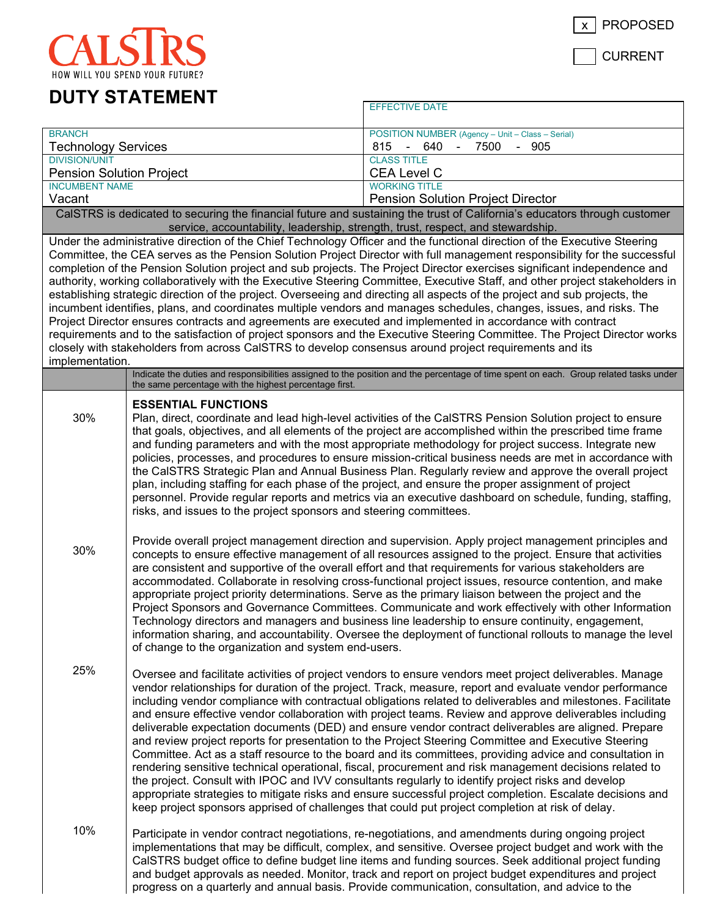

CALS  $\overline{C}$ HOW WILL YOU SPEND YOUR FUTURE?

CURRENT

## **DUTY STATEMENT**

| <b>BRANCH</b>                                                                                                                                                                                                                                                                                                                                                                                                                                                                                                                                                                                                                                                                                                                                                                                                                                                                                                                                                                                                                                                                                                                                    |                                                                                                                                                                                                                                                                                                                                                                                                                                                                                                                                                                                                                                                                                                                                                                                                                                                                                                                               | POSITION NUMBER (Agency - Unit - Class - Serial)                                                                                                                                                                                                                                                                                                                                                                                                                                                                                                                                                                                                                                                                                                                                                                                                                                                                                                                                                                                                                                                                                                                                                             |  |  |
|--------------------------------------------------------------------------------------------------------------------------------------------------------------------------------------------------------------------------------------------------------------------------------------------------------------------------------------------------------------------------------------------------------------------------------------------------------------------------------------------------------------------------------------------------------------------------------------------------------------------------------------------------------------------------------------------------------------------------------------------------------------------------------------------------------------------------------------------------------------------------------------------------------------------------------------------------------------------------------------------------------------------------------------------------------------------------------------------------------------------------------------------------|-------------------------------------------------------------------------------------------------------------------------------------------------------------------------------------------------------------------------------------------------------------------------------------------------------------------------------------------------------------------------------------------------------------------------------------------------------------------------------------------------------------------------------------------------------------------------------------------------------------------------------------------------------------------------------------------------------------------------------------------------------------------------------------------------------------------------------------------------------------------------------------------------------------------------------|--------------------------------------------------------------------------------------------------------------------------------------------------------------------------------------------------------------------------------------------------------------------------------------------------------------------------------------------------------------------------------------------------------------------------------------------------------------------------------------------------------------------------------------------------------------------------------------------------------------------------------------------------------------------------------------------------------------------------------------------------------------------------------------------------------------------------------------------------------------------------------------------------------------------------------------------------------------------------------------------------------------------------------------------------------------------------------------------------------------------------------------------------------------------------------------------------------------|--|--|
| <b>Technology Services</b><br><b>DIVISION/UNIT</b>                                                                                                                                                                                                                                                                                                                                                                                                                                                                                                                                                                                                                                                                                                                                                                                                                                                                                                                                                                                                                                                                                               |                                                                                                                                                                                                                                                                                                                                                                                                                                                                                                                                                                                                                                                                                                                                                                                                                                                                                                                               | 640<br>815<br>7500<br>905<br>$\blacksquare$<br>$\blacksquare$<br><b>CLASS TITLE</b>                                                                                                                                                                                                                                                                                                                                                                                                                                                                                                                                                                                                                                                                                                                                                                                                                                                                                                                                                                                                                                                                                                                          |  |  |
| <b>Pension Solution Project</b>                                                                                                                                                                                                                                                                                                                                                                                                                                                                                                                                                                                                                                                                                                                                                                                                                                                                                                                                                                                                                                                                                                                  |                                                                                                                                                                                                                                                                                                                                                                                                                                                                                                                                                                                                                                                                                                                                                                                                                                                                                                                               | <b>CEA Level C</b>                                                                                                                                                                                                                                                                                                                                                                                                                                                                                                                                                                                                                                                                                                                                                                                                                                                                                                                                                                                                                                                                                                                                                                                           |  |  |
| <b>INCUMBENT NAME</b>                                                                                                                                                                                                                                                                                                                                                                                                                                                                                                                                                                                                                                                                                                                                                                                                                                                                                                                                                                                                                                                                                                                            |                                                                                                                                                                                                                                                                                                                                                                                                                                                                                                                                                                                                                                                                                                                                                                                                                                                                                                                               | <b>WORKING TITLE</b>                                                                                                                                                                                                                                                                                                                                                                                                                                                                                                                                                                                                                                                                                                                                                                                                                                                                                                                                                                                                                                                                                                                                                                                         |  |  |
| Vacant                                                                                                                                                                                                                                                                                                                                                                                                                                                                                                                                                                                                                                                                                                                                                                                                                                                                                                                                                                                                                                                                                                                                           |                                                                                                                                                                                                                                                                                                                                                                                                                                                                                                                                                                                                                                                                                                                                                                                                                                                                                                                               | <b>Pension Solution Project Director</b>                                                                                                                                                                                                                                                                                                                                                                                                                                                                                                                                                                                                                                                                                                                                                                                                                                                                                                                                                                                                                                                                                                                                                                     |  |  |
|                                                                                                                                                                                                                                                                                                                                                                                                                                                                                                                                                                                                                                                                                                                                                                                                                                                                                                                                                                                                                                                                                                                                                  |                                                                                                                                                                                                                                                                                                                                                                                                                                                                                                                                                                                                                                                                                                                                                                                                                                                                                                                               | CalSTRS is dedicated to securing the financial future and sustaining the trust of California's educators through customer                                                                                                                                                                                                                                                                                                                                                                                                                                                                                                                                                                                                                                                                                                                                                                                                                                                                                                                                                                                                                                                                                    |  |  |
| service, accountability, leadership, strength, trust, respect, and stewardship.                                                                                                                                                                                                                                                                                                                                                                                                                                                                                                                                                                                                                                                                                                                                                                                                                                                                                                                                                                                                                                                                  |                                                                                                                                                                                                                                                                                                                                                                                                                                                                                                                                                                                                                                                                                                                                                                                                                                                                                                                               |                                                                                                                                                                                                                                                                                                                                                                                                                                                                                                                                                                                                                                                                                                                                                                                                                                                                                                                                                                                                                                                                                                                                                                                                              |  |  |
| Under the administrative direction of the Chief Technology Officer and the functional direction of the Executive Steering<br>Committee, the CEA serves as the Pension Solution Project Director with full management responsibility for the successful<br>completion of the Pension Solution project and sub projects. The Project Director exercises significant independence and<br>authority, working collaboratively with the Executive Steering Committee, Executive Staff, and other project stakeholders in<br>establishing strategic direction of the project. Overseeing and directing all aspects of the project and sub projects, the<br>incumbent identifies, plans, and coordinates multiple vendors and manages schedules, changes, issues, and risks. The<br>Project Director ensures contracts and agreements are executed and implemented in accordance with contract<br>requirements and to the satisfaction of project sponsors and the Executive Steering Committee. The Project Director works<br>closely with stakeholders from across CalSTRS to develop consensus around project requirements and its<br>implementation. |                                                                                                                                                                                                                                                                                                                                                                                                                                                                                                                                                                                                                                                                                                                                                                                                                                                                                                                               |                                                                                                                                                                                                                                                                                                                                                                                                                                                                                                                                                                                                                                                                                                                                                                                                                                                                                                                                                                                                                                                                                                                                                                                                              |  |  |
|                                                                                                                                                                                                                                                                                                                                                                                                                                                                                                                                                                                                                                                                                                                                                                                                                                                                                                                                                                                                                                                                                                                                                  | the same percentage with the highest percentage first.                                                                                                                                                                                                                                                                                                                                                                                                                                                                                                                                                                                                                                                                                                                                                                                                                                                                        | Indicate the duties and responsibilities assigned to the position and the percentage of time spent on each. Group related tasks under                                                                                                                                                                                                                                                                                                                                                                                                                                                                                                                                                                                                                                                                                                                                                                                                                                                                                                                                                                                                                                                                        |  |  |
| 30%                                                                                                                                                                                                                                                                                                                                                                                                                                                                                                                                                                                                                                                                                                                                                                                                                                                                                                                                                                                                                                                                                                                                              | <b>ESSENTIAL FUNCTIONS</b><br>Plan, direct, coordinate and lead high-level activities of the CalSTRS Pension Solution project to ensure<br>that goals, objectives, and all elements of the project are accomplished within the prescribed time frame<br>and funding parameters and with the most appropriate methodology for project success. Integrate new<br>policies, processes, and procedures to ensure mission-critical business needs are met in accordance with<br>the CalSTRS Strategic Plan and Annual Business Plan. Regularly review and approve the overall project                                                                                                                                                                                                                                                                                                                                              |                                                                                                                                                                                                                                                                                                                                                                                                                                                                                                                                                                                                                                                                                                                                                                                                                                                                                                                                                                                                                                                                                                                                                                                                              |  |  |
|                                                                                                                                                                                                                                                                                                                                                                                                                                                                                                                                                                                                                                                                                                                                                                                                                                                                                                                                                                                                                                                                                                                                                  | risks, and issues to the project sponsors and steering committees.                                                                                                                                                                                                                                                                                                                                                                                                                                                                                                                                                                                                                                                                                                                                                                                                                                                            | plan, including staffing for each phase of the project, and ensure the proper assignment of project<br>personnel. Provide regular reports and metrics via an executive dashboard on schedule, funding, staffing,                                                                                                                                                                                                                                                                                                                                                                                                                                                                                                                                                                                                                                                                                                                                                                                                                                                                                                                                                                                             |  |  |
| 30%                                                                                                                                                                                                                                                                                                                                                                                                                                                                                                                                                                                                                                                                                                                                                                                                                                                                                                                                                                                                                                                                                                                                              | Provide overall project management direction and supervision. Apply project management principles and<br>concepts to ensure effective management of all resources assigned to the project. Ensure that activities<br>are consistent and supportive of the overall effort and that requirements for various stakeholders are<br>accommodated. Collaborate in resolving cross-functional project issues, resource contention, and make<br>appropriate project priority determinations. Serve as the primary liaison between the project and the<br>Project Sponsors and Governance Committees. Communicate and work effectively with other Information<br>Technology directors and managers and business line leadership to ensure continuity, engagement,<br>information sharing, and accountability. Oversee the deployment of functional rollouts to manage the level<br>of change to the organization and system end-users. |                                                                                                                                                                                                                                                                                                                                                                                                                                                                                                                                                                                                                                                                                                                                                                                                                                                                                                                                                                                                                                                                                                                                                                                                              |  |  |
| 25%                                                                                                                                                                                                                                                                                                                                                                                                                                                                                                                                                                                                                                                                                                                                                                                                                                                                                                                                                                                                                                                                                                                                              |                                                                                                                                                                                                                                                                                                                                                                                                                                                                                                                                                                                                                                                                                                                                                                                                                                                                                                                               | Oversee and facilitate activities of project vendors to ensure vendors meet project deliverables. Manage<br>vendor relationships for duration of the project. Track, measure, report and evaluate vendor performance<br>including vendor compliance with contractual obligations related to deliverables and milestones. Facilitate<br>and ensure effective vendor collaboration with project teams. Review and approve deliverables including<br>deliverable expectation documents (DED) and ensure vendor contract deliverables are aligned. Prepare<br>and review project reports for presentation to the Project Steering Committee and Executive Steering<br>Committee. Act as a staff resource to the board and its committees, providing advice and consultation in<br>rendering sensitive technical operational, fiscal, procurement and risk management decisions related to<br>the project. Consult with IPOC and IVV consultants regularly to identify project risks and develop<br>appropriate strategies to mitigate risks and ensure successful project completion. Escalate decisions and<br>keep project sponsors apprised of challenges that could put project completion at risk of delay. |  |  |
| 10%                                                                                                                                                                                                                                                                                                                                                                                                                                                                                                                                                                                                                                                                                                                                                                                                                                                                                                                                                                                                                                                                                                                                              |                                                                                                                                                                                                                                                                                                                                                                                                                                                                                                                                                                                                                                                                                                                                                                                                                                                                                                                               | Participate in vendor contract negotiations, re-negotiations, and amendments during ongoing project<br>implementations that may be difficult, complex, and sensitive. Oversee project budget and work with the<br>CalSTRS budget office to define budget line items and funding sources. Seek additional project funding<br>and budget approvals as needed. Monitor, track and report on project budget expenditures and project<br>progress on a quarterly and annual basis. Provide communication, consultation, and advice to the                                                                                                                                                                                                                                                                                                                                                                                                                                                                                                                                                                                                                                                                         |  |  |